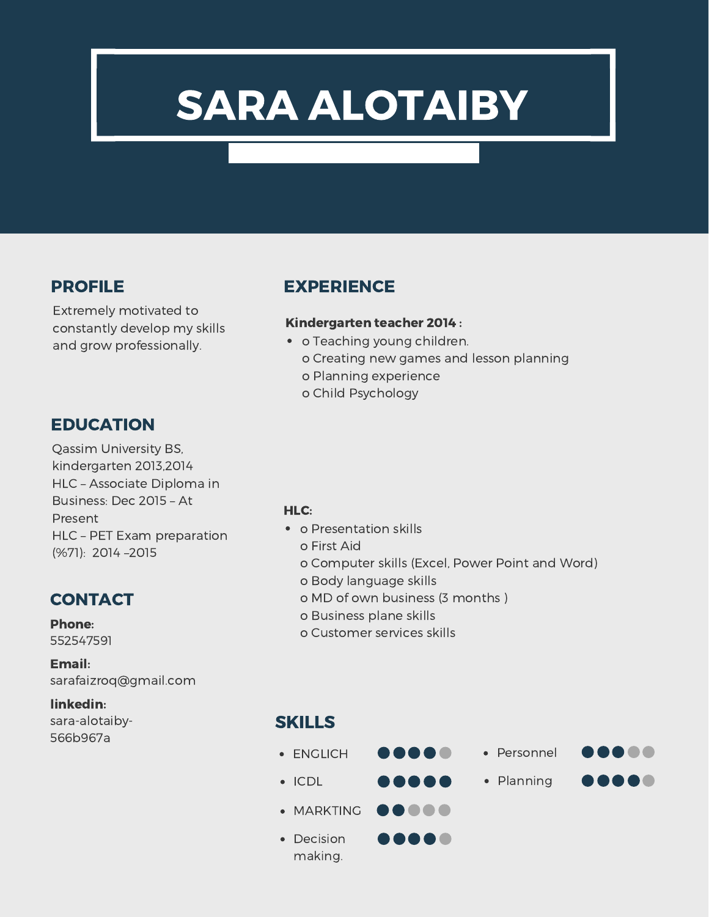# SARA ALOTAIBY

Extremely motivated to constantly develop my skills and grow professionally.

# **EDUCATION**

Qassim University BS, kindergarten 2013,2014 HLC – Associate Diploma in Business: Dec 2015 – At Present HLC – PET Exam preparation (%71): 2014 –2015

# **CONTACT**

Phone: 552547591

Email: sarafaizroq@gmail.com

#### linkedin:

sara-alotaiby-566b967a

# PROFILE EXPERIENCE

#### Kindergarten teacher 2014 :

- o Teaching young children. o Creating new games and lesson planning
	- o Planning experience
	- o Child Psychology

#### HLC:

- o Presentation skills
	- o First Aid
	- o Computer skills (Excel, Power Point and Word)
	- o Body language skills
	- o MD of own business (3 months )
	- o Business plane skills
	- o Customer services skills

## SKILLS

ENGLICH .....

.....

.....

- $\bullet$  ICDL
- ..... • MARKTING
- Decision making.

• Personnel

1000

.....

• Planning